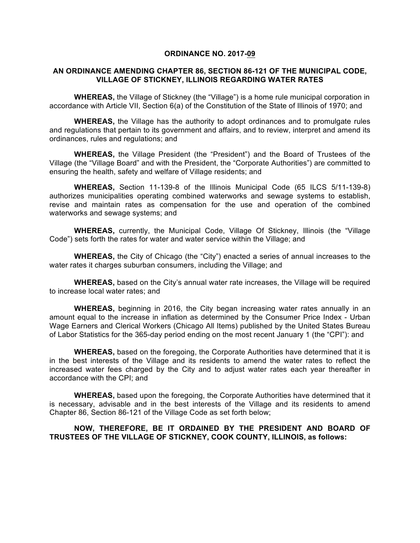#### **ORDINANCE NO. 2017-09**

#### **AN ORDINANCE AMENDING CHAPTER 86, SECTION 86-121 OF THE MUNICIPAL CODE, VILLAGE OF STICKNEY, ILLINOIS REGARDING WATER RATES**

**WHEREAS,** the Village of Stickney (the "Village") is a home rule municipal corporation in accordance with Article VII, Section 6(a) of the Constitution of the State of Illinois of 1970; and

**WHEREAS,** the Village has the authority to adopt ordinances and to promulgate rules and regulations that pertain to its government and affairs, and to review, interpret and amend its ordinances, rules and regulations; and

**WHEREAS,** the Village President (the "President") and the Board of Trustees of the Village (the "Village Board" and with the President, the "Corporate Authorities") are committed to ensuring the health, safety and welfare of Village residents; and

**WHEREAS,** Section 11-139-8 of the Illinois Municipal Code (65 ILCS 5/11-139-8) authorizes municipalities operating combined waterworks and sewage systems to establish, revise and maintain rates as compensation for the use and operation of the combined waterworks and sewage systems; and

**WHEREAS,** currently, the Municipal Code, Village Of Stickney, Illinois (the "Village Code") sets forth the rates for water and water service within the Village; and

**WHEREAS,** the City of Chicago (the "City") enacted a series of annual increases to the water rates it charges suburban consumers, including the Village; and

**WHEREAS,** based on the City's annual water rate increases, the Village will be required to increase local water rates; and

**WHEREAS,** beginning in 2016, the City began increasing water rates annually in an amount equal to the increase in inflation as determined by the Consumer Price Index - Urban Wage Earners and Clerical Workers (Chicago All Items) published by the United States Bureau of Labor Statistics for the 365-day period ending on the most recent January 1 (the "CPI"): and

**WHEREAS,** based on the foregoing, the Corporate Authorities have determined that it is in the best interests of the Village and its residents to amend the water rates to reflect the increased water fees charged by the City and to adjust water rates each year thereafter in accordance with the CPI; and

**WHEREAS,** based upon the foregoing, the Corporate Authorities have determined that it is necessary, advisable and in the best interests of the Village and its residents to amend Chapter 86, Section 86-121 of the Village Code as set forth below;

## **NOW, THEREFORE, BE IT ORDAINED BY THE PRESIDENT AND BOARD OF TRUSTEES OF THE VILLAGE OF STICKNEY, COOK COUNTY, ILLINOIS, as follows:**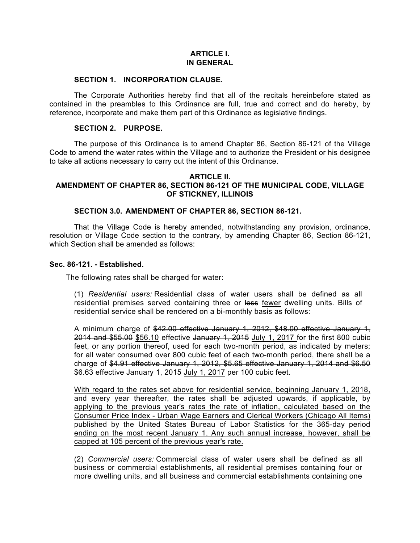# **ARTICLE I. IN GENERAL**

## **SECTION 1. INCORPORATION CLAUSE.**

The Corporate Authorities hereby find that all of the recitals hereinbefore stated as contained in the preambles to this Ordinance are full, true and correct and do hereby, by reference, incorporate and make them part of this Ordinance as legislative findings.

## **SECTION 2. PURPOSE.**

The purpose of this Ordinance is to amend Chapter 86, Section 86-121 of the Village Code to amend the water rates within the Village and to authorize the President or his designee to take all actions necessary to carry out the intent of this Ordinance.

#### **ARTICLE II. AMENDMENT OF CHAPTER 86, SECTION 86-121 OF THE MUNICIPAL CODE, VILLAGE OF STICKNEY, ILLINOIS**

# **SECTION 3.0. AMENDMENT OF CHAPTER 86, SECTION 86-121.**

That the Village Code is hereby amended, notwithstanding any provision, ordinance, resolution or Village Code section to the contrary, by amending Chapter 86, Section 86-121, which Section shall be amended as follows:

## **Sec. 86-121. - Established.**

The following rates shall be charged for water:

(1) *Residential users:* Residential class of water users shall be defined as all residential premises served containing three or less fewer dwelling units. Bills of residential service shall be rendered on a bi-monthly basis as follows:

A minimum charge of \$42.00 effective January 1, 2012, \$48.00 effective January 1, 2014 and \$55.00 \$56.10 effective January 1, 2015 July 1, 2017 for the first 800 cubic feet, or any portion thereof, used for each two-month period, as indicated by meters; for all water consumed over 800 cubic feet of each two-month period, there shall be a charge of \$4.91 effective January 1, 2012, \$5.65 effective January 1, 2014 and \$6.50 \$6.63 effective January 1, 2015 July 1, 2017 per 100 cubic feet.

With regard to the rates set above for residential service, beginning January 1, 2018, and every year thereafter, the rates shall be adjusted upwards, if applicable, by applying to the previous year's rates the rate of inflation, calculated based on the Consumer Price Index - Urban Wage Earners and Clerical Workers (Chicago All Items) published by the United States Bureau of Labor Statistics for the 365-day period ending on the most recent January 1. Any such annual increase, however, shall be capped at 105 percent of the previous year's rate.

(2) *Commercial users:* Commercial class of water users shall be defined as all business or commercial establishments, all residential premises containing four or more dwelling units, and all business and commercial establishments containing one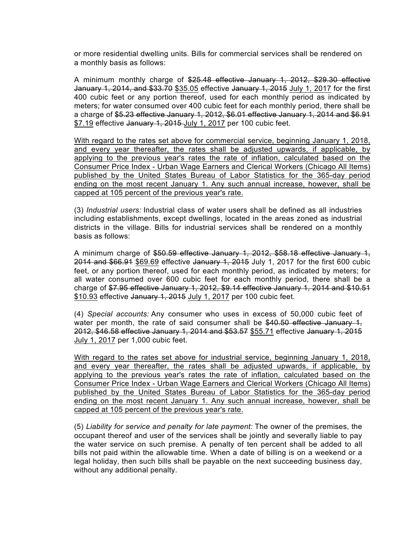or more residential dwelling units. Bills for commercial services shall be rendered on a monthly basis as follows:

A minimum monthly charge of \$25.48 effective January 1, 2012, \$29.30 effective January 1, 2014, and \$33.70 \$35.05 effective January 1, 2015 July 1, 2017 for the first 400 cubic feet or any portion thereof, used for each monthly period as indicated by meters; for water consumed over 400 cubic feet for each monthly period, there shall be a charge of \$5.23 effective January 1, 2012, \$6.01 effective January 1, 2014 and \$6.91 \$7.19 effective January 1, 2015 July 1, 2017 per 100 cubic feet.

With regard to the rates set above for commercial service, beginning January 1, 2018, and every year thereafter, the rates shall be adjusted upwards, if applicable, by applying to the previous year's rates the rate of inflation, calculated based on the Consumer Price Index - Urban Wage Earners and Clerical Workers (Chicago All Items) published by the United States Bureau of Labor Statistics for the 365-day period ending on the most recent January 1. Any such annual increase, however, shall be capped at 105 percent of the previous year's rate.

(3) *Industrial users:* Industrial class of water users shall be defined as all industries including establishments, except dwellings, located in the areas zoned as industrial districts in the village. Bills for industrial services shall be rendered on a monthly basis as follows:

A minimum charge of \$50.59 effective January 1, 2012, \$58.18 effective January 1, 2014 and \$66.91 \$69.69 effective January 1, 2015 July 1, 2017 for the first 600 cubic feet, or any portion thereof, used for each monthly period, as indicated by meters; for all water consumed over 600 cubic feet for each monthly period, there shall be a charge of \$7.95 effective January 1, 2012, \$9.14 effective January 1, 2014 and \$10.51 \$10.93 effective January 1, 2015 July 1, 2017 per 100 cubic feet.

(4) *Special accounts:* Any consumer who uses in excess of 50,000 cubic feet of water per month, the rate of said consumer shall be  $$40.50$  effective January 1, 2012, \$46.58 effective January 1, 2014 and \$53.57 \$55.71 effective January 1, 2015 July 1, 2017 per 1,000 cubic feet.

With regard to the rates set above for industrial service, beginning January 1, 2018, and every year thereafter, the rates shall be adjusted upwards, if applicable, by applying to the previous year's rates the rate of inflation, calculated based on the Consumer Price Index - Urban Wage Earners and Clerical Workers (Chicago All Items) published by the United States Bureau of Labor Statistics for the 365-day period ending on the most recent January 1. Any such annual increase, however, shall be capped at 105 percent of the previous year's rate.

(5) *Liability for service and penalty for late payment:* The owner of the premises, the occupant thereof and user of the services shall be jointly and severally liable to pay the water service on such premise. A penalty of ten percent shall be added to all bills not paid within the allowable time. When a date of billing is on a weekend or a legal holiday, then such bills shall be payable on the next succeeding business day, without any additional penalty.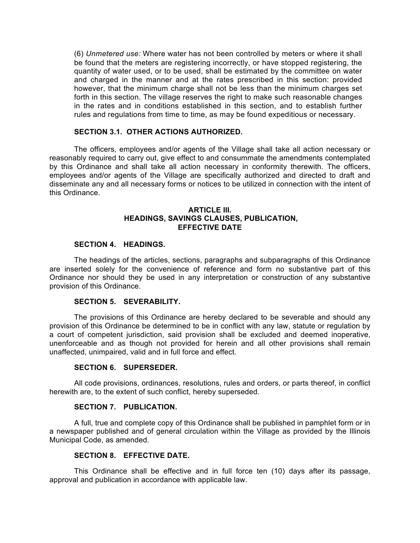(6) *Unmetered use:* Where water has not been controlled by meters or where it shall be found that the meters are registering incorrectly, or have stopped registering, the quantity of water used, or to be used, shall be estimated by the committee on water and charged in the manner and at the rates prescribed in this section: provided however, that the minimum charge shall not be less than the minimum charges set forth in this section. The village reserves the right to make such reasonable changes in the rates and in conditions established in this section, and to establish further rules and regulations from time to time, as may be found expeditious or necessary.

## **SECTION 3.1. OTHER ACTIONS AUTHORIZED.**

The officers, employees and/or agents of the Village shall take all action necessary or reasonably required to carry out, give effect to and consummate the amendments contemplated by this Ordinance and shall take all action necessary in conformity therewith. The officers, employees and/or agents of the Village are specifically authorized and directed to draft and disseminate any and all necessary forms or notices to be utilized in connection with the intent of this Ordinance.

## **ARTICLE III. HEADINGS, SAVINGS CLAUSES, PUBLICATION, EFFECTIVE DATE**

## **SECTION 4. HEADINGS.**

The headings of the articles, sections, paragraphs and subparagraphs of this Ordinance are inserted solely for the convenience of reference and form no substantive part of this Ordinance nor should they be used in any interpretation or construction of any substantive provision of this Ordinance.

## **SECTION 5. SEVERABILITY.**

The provisions of this Ordinance are hereby declared to be severable and should any provision of this Ordinance be determined to be in conflict with any law, statute or regulation by a court of competent jurisdiction, said provision shall be excluded and deemed inoperative, unenforceable and as though not provided for herein and all other provisions shall remain unaffected, unimpaired, valid and in full force and effect.

#### **SECTION 6. SUPERSEDER.**

All code provisions, ordinances, resolutions, rules and orders, or parts thereof, in conflict herewith are, to the extent of such conflict, hereby superseded.

## **SECTION 7. PUBLICATION.**

A full, true and complete copy of this Ordinance shall be published in pamphlet form or in a newspaper published and of general circulation within the Village as provided by the Illinois Municipal Code, as amended.

#### **SECTION 8. EFFECTIVE DATE.**

This Ordinance shall be effective and in full force ten (10) days after its passage, approval and publication in accordance with applicable law.